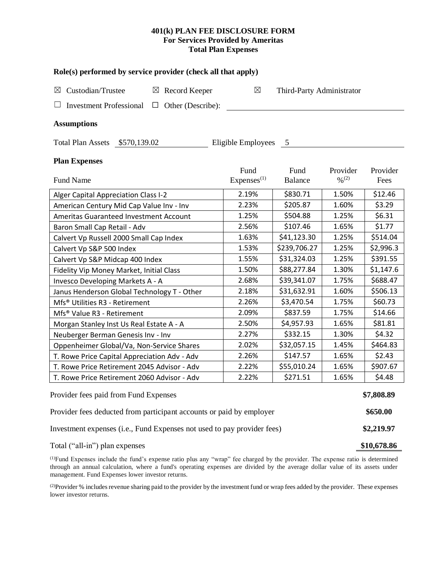# **401(k) PLAN FEE DISCLOSURE FORM For Services Provided by Ameritas Total Plan Expenses**

| Role(s) performed by service provider (check all that apply)            |                                 |                           |                                          |                  |  |  |
|-------------------------------------------------------------------------|---------------------------------|---------------------------|------------------------------------------|------------------|--|--|
| Custodian/Trustee<br>$\boxtimes$ Record Keeper<br>⊠                     | $\boxtimes$                     | Third-Party Administrator |                                          |                  |  |  |
| Other (Describe):<br><b>Investment Professional</b><br>$\Box$           |                                 |                           |                                          |                  |  |  |
| <b>Assumptions</b>                                                      |                                 |                           |                                          |                  |  |  |
| Total Plan Assets \$570,139.02                                          | Eligible Employees 5            |                           |                                          |                  |  |  |
| <b>Plan Expenses</b>                                                    |                                 |                           |                                          |                  |  |  |
| <b>Fund Name</b>                                                        | Fund<br>Expenses <sup>(1)</sup> | Fund<br><b>Balance</b>    | Provider<br>$\frac{0}{2}$ <sup>(2)</sup> | Provider<br>Fees |  |  |
| Alger Capital Appreciation Class I-2                                    | 2.19%                           | \$830.71                  | 1.50%                                    | \$12.46          |  |  |
| American Century Mid Cap Value Inv - Inv                                | 2.23%                           | \$205.87                  | 1.60%                                    | \$3.29           |  |  |
| <b>Ameritas Guaranteed Investment Account</b>                           | 1.25%                           | \$504.88                  | 1.25%                                    | \$6.31           |  |  |
| Baron Small Cap Retail - Adv                                            | 2.56%                           | \$107.46                  | 1.65%                                    | \$1.77           |  |  |
| Calvert Vp Russell 2000 Small Cap Index                                 | 1.63%                           | \$41,123.30               | 1.25%                                    | \$514.04         |  |  |
| Calvert Vp S&P 500 Index                                                | 1.53%                           | \$239,706.27              | 1.25%                                    | \$2,996.3        |  |  |
| Calvert Vp S&P Midcap 400 Index                                         | 1.55%                           | \$31,324.03               | 1.25%                                    | \$391.55         |  |  |
| Fidelity Vip Money Market, Initial Class                                | 1.50%                           | \$88,277.84               | 1.30%                                    | \$1,147.6        |  |  |
| Invesco Developing Markets A - A                                        | 2.68%                           | \$39,341.07               | 1.75%                                    | \$688.47         |  |  |
| Janus Henderson Global Technology T - Other                             | 2.18%                           | \$31,632.91               | 1.60%                                    | \$506.13         |  |  |
| Mfs <sup>®</sup> Utilities R3 - Retirement                              | 2.26%                           | \$3,470.54                | 1.75%                                    | \$60.73          |  |  |
| Mfs® Value R3 - Retirement                                              | 2.09%                           | \$837.59                  | 1.75%                                    | \$14.66          |  |  |
| Morgan Stanley Inst Us Real Estate A - A                                | 2.50%                           | \$4,957.93                | 1.65%                                    | \$81.81          |  |  |
| Neuberger Berman Genesis Inv - Inv                                      | 2.27%                           | \$332.15                  | 1.30%                                    | \$4.32           |  |  |
| Oppenheimer Global/Va, Non-Service Shares                               | 2.02%                           | \$32,057.15               | 1.45%                                    | \$464.83         |  |  |
| T. Rowe Price Capital Appreciation Adv - Adv                            | 2.26%                           | \$147.57                  | 1.65%                                    | \$2.43           |  |  |
| T. Rowe Price Retirement 2045 Advisor - Adv                             | 2.22%                           | \$55,010.24               | 1.65%                                    | \$907.67         |  |  |
| T. Rowe Price Retirement 2060 Advisor - Adv                             | 2.22%                           | \$271.51                  | 1.65%                                    | \$4.48           |  |  |
| Provider fees paid from Fund Expenses                                   |                                 |                           |                                          | \$7,808.89       |  |  |
| Provider fees deducted from participant accounts or paid by employer    |                                 |                           |                                          |                  |  |  |
| Investment expenses (i.e., Fund Expenses not used to pay provider fees) |                                 |                           |                                          |                  |  |  |
| Total ("all-in") plan expenses                                          |                                 |                           |                                          | \$10,678.86      |  |  |

(1)Fund Expenses include the fund's expense ratio plus any "wrap" fee charged by the provider. The expense ratio is determined through an annual calculation, where a fund's operating expenses are divided by the average dollar value of its assets under management. Fund Expenses lower investor returns.

(2) Provider % includes revenue sharing paid to the provider by the investment fund or wrap fees added by the provider. These expenses lower investor returns.